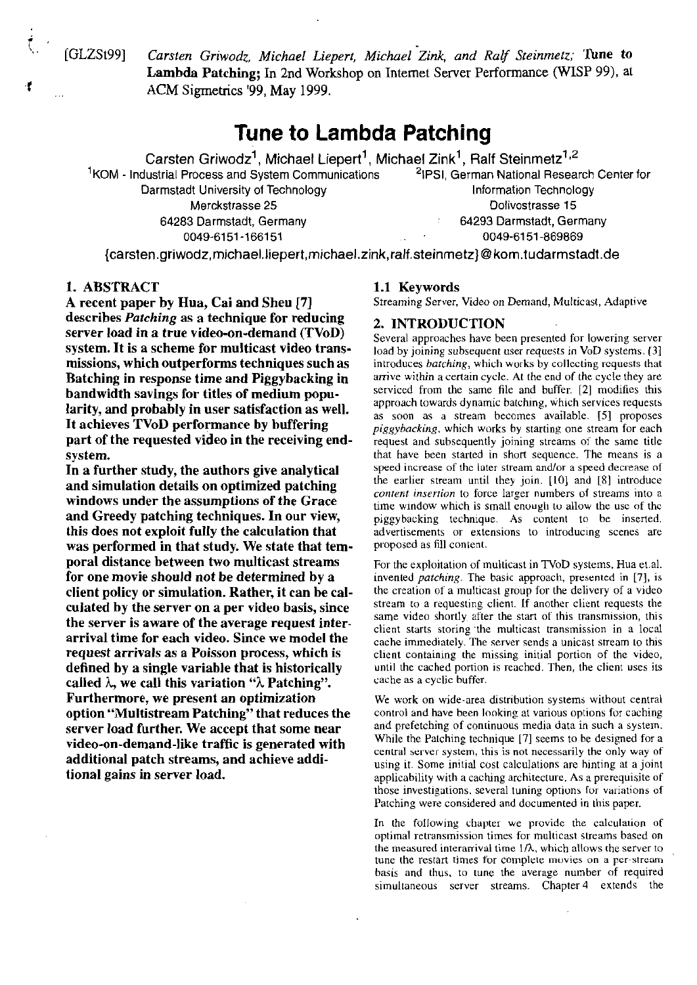[GLZSt99] *Carsten Griwodz, Michael Liepert, Michael Zink, and Ralf Steinmetz; Tune to* Lambda Patching; In 2nd Workshop on Intemet Server Performance (WISP 99), at **I** ... **ACM** Sigrnetrics '99, May 1999.

## **Tune to Lambda Patching**

Carsten Griwodz<sup>1</sup>, Michael Liepert<sup>1</sup>, Michael Zink<sup>1</sup>, Ralf Steinmetz<sup>1,2</sup><br>lustrial Process and System Communications<sup>2</sup>PSI, German National Research Center for  $1$ KOM - Industrial Process and System Communications Darmstadt University of Technology Information Technology Merckstrasse 25 Dolivostrasse 15

64283 Darmstadt, Germany 64293 Darrnstadt, Germany 0049-6151 -1661 51 0049-61 51 -869869

{carsten.griwodz,michael.liepert,michael.zink,ralf.steinmetz) Qkom.tudarmstadt.de

#### 1. ABSTRACT

A recent paper by Hua, Cai and Sheu [7] describes Patching as a technique for reducing server load in a true video-on-demand (TVoD) system. It is a scheme for multicast video transmissions, which outperforms techniques such as Batching in response time and Piggybacking in bandwidth savings for titles of medium popularity, and probably in user satisfaction as well. It achieves TVoD performance by huffering part of the requested video in the receiving endsystem.

In a further study, the authors give analytical and simulation details on optimized patching windows under the assumptions of the Grace and Greedy patching techniques. In our view, this does not exploit fully the calculation that was performed in that study. We state that temporal distance between two multicast streams for one movie sbould not be determined by a client policy or simulation. Rather, it can be calculated by the server on aper video basis, since the server is aware of the average request interarrival time for each video. Since we model the request arrivals as a Poisson process, which is defined by a single variable that is historically called **L,** we call this variation **"L** Patching". Furthermore, we present an optimization option "Multistream Patching" that reduces the server load further. We accept that some near video-on-demand-like traffic is generated with additional patch streams, and achieve additional gains in server load.

#### 1.1 Keywords

Streaming Server, Video on Demand, Mulricast, Adaptive

#### 2. INTRODUCTION

Several approaches have heen presented for lowering server load by joining subsequent user requests in VoD systems. [3] introduces batching, which works by collecting requests that arrive within a certain cycle. At the end of the cycle they are serviced from the same file and buffer. **[2]** modifies this approach towards dynamic batching, which services requesrs as soon as a stream becomes availahle. **[5]** proposes piggybacking, which works by starting one stream for each request and subsequently joining streams of the same title that have been started in short sequence. The means is a speed increase of the later stream and/or a speed decrease of the earlier stream until they join. [I01 and [8] introduce content inserrion to force larger numhers of streams into a time window which is small enough to allow the use of the piggybacking technique. As content to be inserted. advertisements or extensions to introducing scenes are proposed as fill content.

For the exploitation of multicast in TVoD systems, Hua et.al. invented *patching*. The basic approach, presented in [7], is the creation of a multicast group for the delivery of a video stream to a requesting client. If another client requests the same video shortly after the start of this transmission, this client starts storing the multicast transmission in a local cache immediately. The server sends a unicast stream to this client containing the missing initial portion of the video, uniil the cached portion is reached. Then, the client uses its caclie as **a** cyclic buffcr.

We work on wide-area distribution systems without central control and have been looking at various options for caching and prefetching of conrinuous media data in such a system. While the Patching technique [7] seems to be designed for a central server system, this is not necessarily the only way of using it. Some initial cost calculations are hinting at a joint applicability with a caching archirecture. As a prerequisite of those investigations. several tuning options for variations of Patching were considered and documented in this paper.

In the following chapter we provide the calculation of optimal retransmission times for multicast streams based on the measured interarrival time *I/* $\lambda$ , which allows the server to tune the restart times for complete movies on a pcr-stream basis and thus, to tune the average number of required simultaneous server streams. Chapter 4 extends the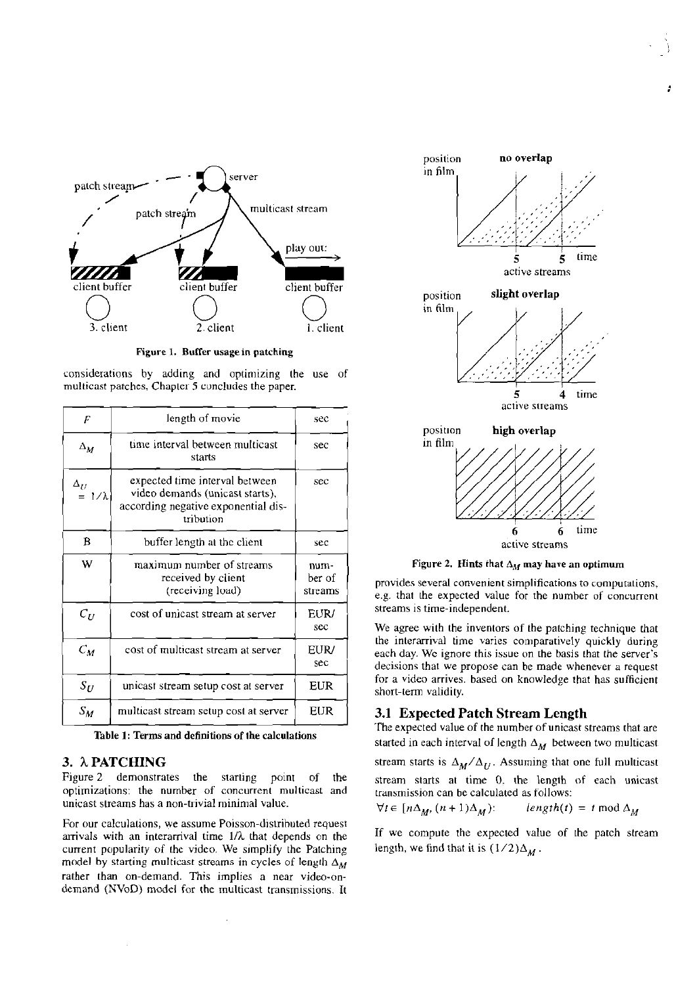

**Figure 1. Buffer** usagein patching

considerations by adding and optimizing the use of multicast patches, Chapter 5 concludes the paper.

| F                                                         | length of movie                                                                                                       | sec                       |
|-----------------------------------------------------------|-----------------------------------------------------------------------------------------------------------------------|---------------------------|
| $\Delta_{\mathcal{M}}$                                    | time interval between multicast<br>starts                                                                             | sec                       |
| $\begin{vmatrix} \Delta_U \\ = & 1/\lambda \end{vmatrix}$ | expected time interval between<br>video demands (unicast starts),<br>according negative exponential dis-<br>tribution | sec                       |
| B                                                         | buffer length at the client                                                                                           | sec                       |
| W                                                         | maximum number of streams<br>received by client<br>(receiving load)                                                   | num-<br>ber of<br>streams |
| $C_U$                                                     | cost of unicast stream at server                                                                                      | EUR<br>sec                |
| $C_M$                                                     | cost of multicast stream at server                                                                                    | EUR/<br>sec               |
| $S_U$                                                     | unicast stream setup cost at server                                                                                   | EUR                       |
| $S_M$                                                     | multicast stream setup cost at server                                                                                 | <b>EUR</b>                |

Table 1: Terms and definitions of the calculations

#### 3.  $\lambda$  PATCHING

Figure2 demonstrates the starting point of the optimizations: the number of concurrent multicast and unicast streams has a non-trivial minimal value.

For our calculations, we assume Poisson-distributed request arrivals with an interarrival time  $1/\lambda$  that depends on the cunent popularity of the video. We sjmplify the Paiching model by starting multicast streams in cycles of length  $\Delta_M$ rather than on-demand. This implies a near video-ondemand (NVoD) model for the multicast transmissions. It



Figure 2. Hints that  $\Delta_M$  may have an optimum

provides several convenient simplifications to computations, e.g. that the expected value for the number of concurrent streams is time-independent.

We agree with the inventors of the patching technique that the interarrival time varies comparatively quickly during each day. We ignore this issue on the basis that the server's decisions that we propose can be made whenever a request for a video arrives, based on knowledge that has sufficient short-term validity.

#### **3.1 Expected Patch Stream Length**

The expected value of the number of unicast streams that are started in each interval of length  $\Delta_M$  between two multicast

stream starts is  $\Delta_M/\Delta_U$ . Assuming that one full multicast stream starts at time 0. the length of each unicast transmission can be calculated as follows:

$$
\forall t \in [n\Delta_M, (n+1)\Delta_M): \qquad length(t) = t \mod \Delta_M
$$

If we compute the expected value of ihe patch stream length, we find that it is  $(1/2)\Delta_M$ .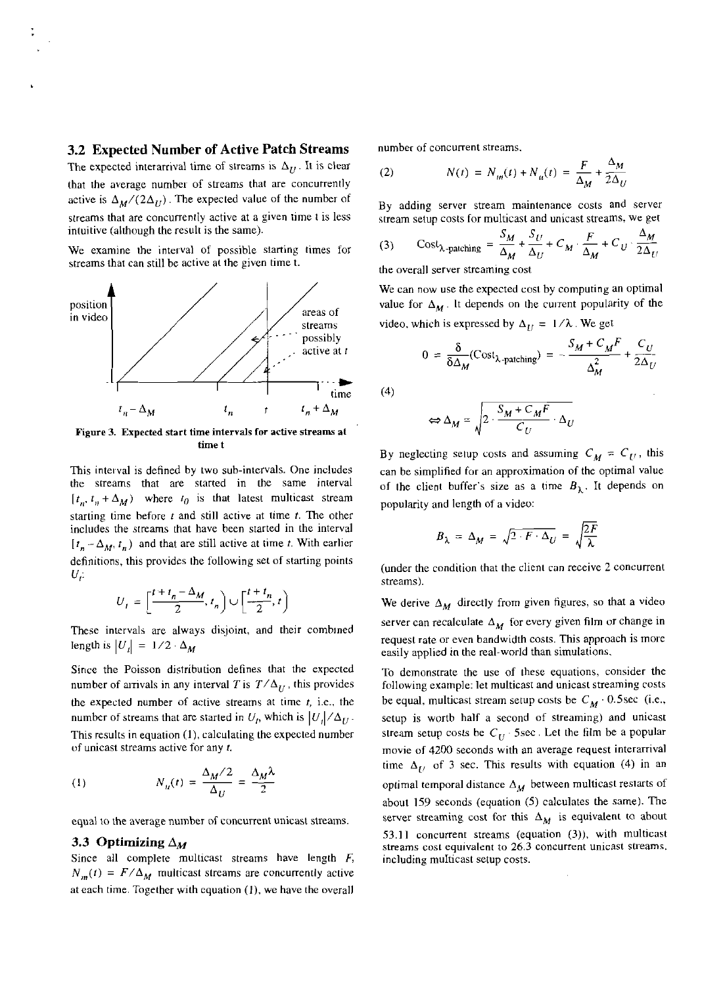#### **3.2 Expected Number of Active Patch Streams**

The expected interarrival time of streams is  $\Delta_{II}$ . It is clear that the average number of streams that are concurrently active is  $\Delta_M/(2\Delta_U)$ . The expected value of the number of streams that are concurrently active at a given time t is less intuitive (although the result is the same).

We examine the interval of possible starting times for streams that can still he active at the given time t.



Figure **3.** Expected start time intervals **for** active streams al time t

This interval is defined by two sub-intervals. One includes the streams that are started in the same interval  $[t_n, t_n + \Delta_M)$  where  $t_0$  is that latest multicast stream starting time hefore t and still active nt time *t.* The other includes the streams that have heen started in the interval  $[t_n - \Delta_M, t_n]$  and that are still active at time *t*. With earlier definitions, this provides the following set of starting points  $U_t$ .

$$
U_t = \left[\frac{t+t_n - \Delta_M}{2}, t_n\right] \cup \left[\frac{t+t_n}{2}, t\right)
$$

These intervals are always disjoint, and their combined length is  $|U_i| = 1/2 \cdot \Delta_M$ 

Since the Poisson distribution defines that the expected number of arrivals in any interval T is  $T/\Delta_U$ , this provides the expccted number of active streams at time *t,* i.e.. the number of streams that are started in  $U_i$ , which is  $|U_i|/\Delta_{U_i}$ . This results in equation **(I),** calculating the expected number uf unicast streams active for any *1.* 

(1) 
$$
N_{\mu}(t) = \frac{\Delta_M/2}{\Delta_U} = \frac{\Delta_M \lambda}{2}
$$

equal to the average number of concurrent unicast streams.

#### **3.3 Optimizing**  $\Delta_M$

Since all complete multicast streams have length  $F$ ,  $N_m(t) = F/\Delta_M$  multicast streams are concurrently active at each time. Together with cquation (I). we have the overall

number of concurrent streams,

(2) 
$$
N(t) = N_m(t) + N_u(t) = \frac{F}{\Delta_M} + \frac{\Delta_M}{2\Delta_U}
$$

By adding server stream maintenance costs and server stream setup costs for multicast and unicast streams, we get

(3) 
$$
\text{Cost}_{\lambda\text{-patching}} = \frac{S_M}{\Delta_M} + \frac{S_U}{\Delta_U} + C_M \cdot \frac{F}{\Delta_M} + C_U \cdot \frac{\Delta_M}{2\Delta_U}
$$

the overall server streaming cost

We can now use the expected cost by computing an optimal value for  $\Delta_M$ . It depends on the current popularity of the video, which is expressed by  $\Delta_{\nu} = 1/\lambda$ . We get

$$
G_{\text{c}} \text{ where } S \text{ expressed } G_{\text{f}} \Delta_H = 17.6 \cdot 10^{-6} \text{ s}
$$

$$
0 = \frac{\delta}{\delta \Delta_M} (\text{Cost}_{\lambda\text{-patching}}) = -\frac{S_M + C_M F}{\Delta_M^2} + \frac{C_U}{2\Delta_U}
$$

 $(4)$ 

$$
\Leftrightarrow \Delta_M = \sqrt{2 \cdot \frac{S_M + C_M F}{C_U} \cdot \Delta_U}
$$

By neglecting setup costs and assuming  $C_M = C_U$ , this can he simplified for an approximation of the optimal value of the client buffer's size as a time  $B_{\lambda}$ . It depends on popularity and length of a video:

$$
B_{\lambda} = \Delta_M = \sqrt{2 \cdot F \cdot \Delta_U} = \sqrt{\frac{2F}{\lambda}}
$$

(under the condition that the client can receive 2 concurrent streams).

We derive  $\Delta_M$  directly from given figures, so that a video server can recalculate  $\Delta_M$  for every given film or change in request rate or even bandwidth costs. This approach is more easily applied in the real-world than simulations.

To demonstrate the use of these equations, consider the following exarnple: let multicast and unicast streaming costs be equal, multicast stream setup costs be  $C_M \cdot 0.5$  sec (i.e., setup is wortb half a second of streaming) and unicasr stream setup costs be  $C_{U}$  Ssec. Let the film be a popular movie of **4200** seconds with an average request interarrival time  $\Delta_{11}$  of 3 sec. This results with equation (4) in an optimal temporal distance  $\Delta_M$  between multicast restarts of about  $159$  seconds (equation  $(5)$  calculates the same). The server streaming cost for this  $\Delta_M$  is equivalent to about 53.11 concurrent streams (equation (3)), with multicast streams cost equivalent to 26.3 concurrent unicast streams. including muIticast setup costs.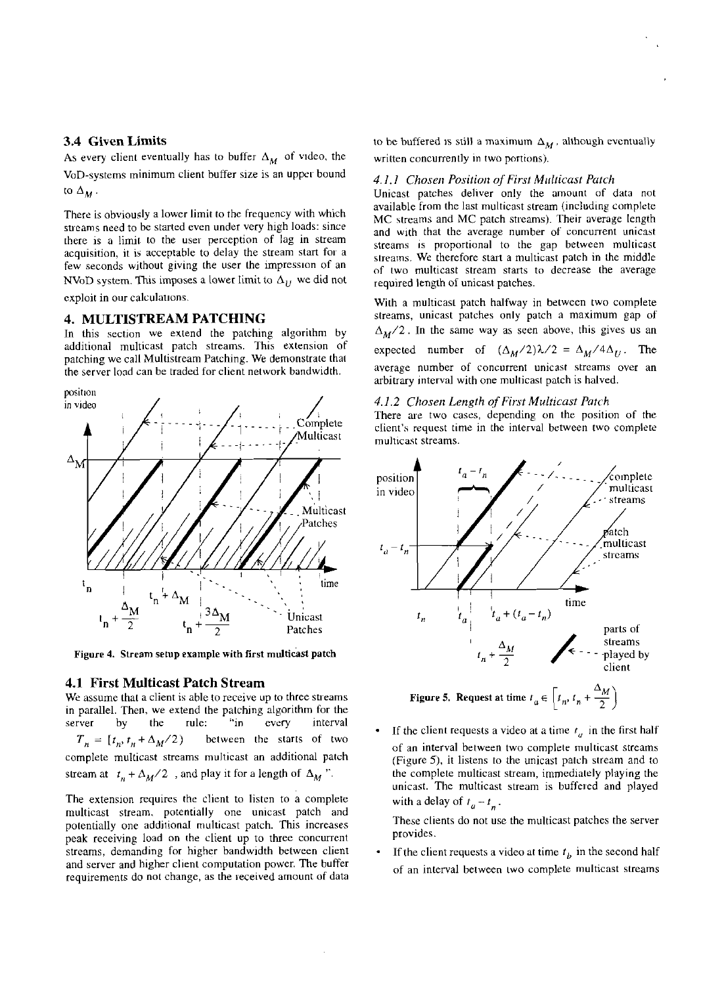#### **3.4 Given Limits**

As every client eventually has to buffer  $\Delta_M$  of video, the VoD-systems minimum client buffer size is an upper bound to  $\Delta_M$ .

There is obviously a lower limit to the frequency with which streams need to be started even under very high loads: since there is a limit to the user perception of lag in stream acquisition, it is acceptable to delay the stream start for a few seconds without giving the user the impression of an NV<sub>o</sub>D system. This imposes a lower limit to  $\Delta_{\mathbf{U}}$  we did not exploit in our calculations.

#### **4. MULTISTREAM PATCHING**

In this section we extend the patching algorithm by additional multicast patch streams. This extension of patching we call Multistream Patching. We demonstrate thai the server logd can be traded for client neiwork bandwidth.



**Figure 4.** Stream setnp erample with first multicast patch

#### **4.1 First Multicast Patch Stream**

We assume that a client is able to receive up to three streams in parallel. Then, we extend the patching algorithm for the server by the rule: "in every interval server by the rule: "in every interval  $T_n = [t_n, t_n + \Delta_M/2]$  between the starts of two complete multicast streams multicast an additional patch stream at  $t_n + \Delta_M/2$ , and play it for a length of  $\Delta_M$ ".

The extension requires the client to listen to a complete multicast stream. potentially one unicast patch and potentially one additional multicast patch. This increases peak receiving load on the client up to three concurrent streams, demanding for higher bandwidth between client and server and higher client computation power. The buffer requirements do not change, as the ieceived amount of data to be buffered is still a maximum  $\Delta_M$ , although eventually written concurrently in two portions).

#### *4.1.1 Chosen Positiori of First Miilticast Patch*

Unicast patches deliver only the amount of data not available from the last multicast stream (including complete MC streams and MC patch stieams). Their average length and with that the average number of concurrent unicast streams is proportional to the gap between multicast streams. We therefore start a multicast patch in the middle of two multicast stream starts to decrease the average required length of unicast patches.

With a multicast patch halfway in between two complete streams, unicast patches only patch a maximum gap of  $\Delta_M/2$ . In the same way as seen above, this gives us an expected number of  $(\Delta_M/2)\lambda/2 = \Delta_M/4\Delta_U$ . The average number of concurrent unicast streams over an arbitrary interval with one multicast patch is halved.

#### *4.1.2 Choseri Length* of *First Multicast Pntch*

There are two cases, depending on the position of the client's request time in the interval between two complete multicast streams.



If the client requests a video at a time  $t_a$  in the first half of an interval between two compleie multicast streams (Figure 5), it listens io the unicast paich siream and to the complete multicast stream, immediaiely playing the unicast. The multicast stream is buffeied and played with a delay of  $t_a - t_n$ .

These clients do not use the multicast patches the server provides.

If the client requests a video at time  $t<sub>b</sub>$  in the second half of an interval between two complete multicast streams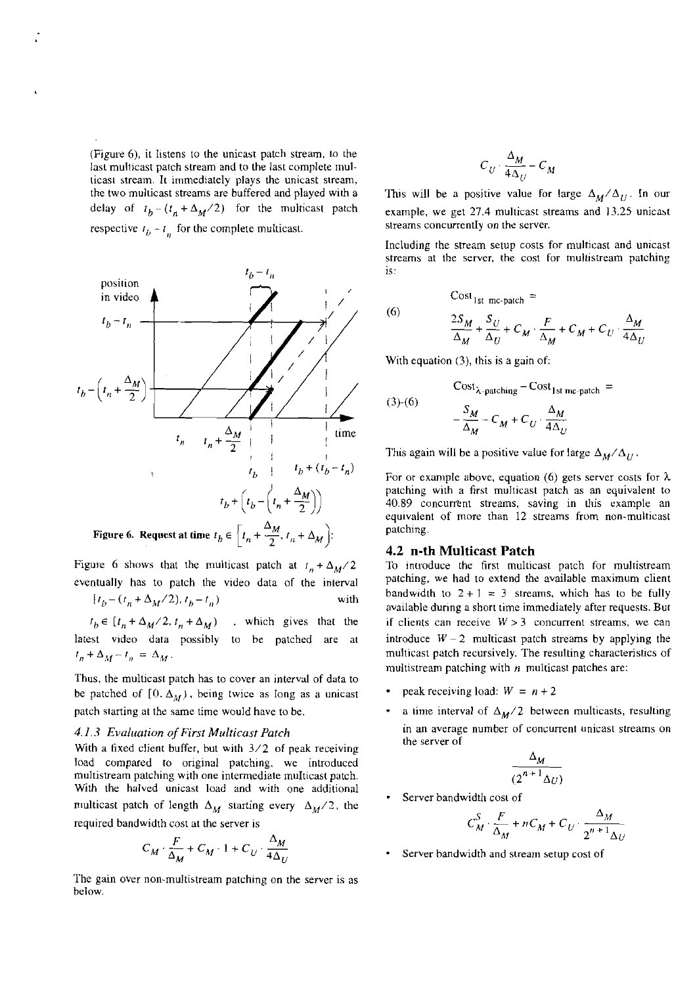(Figure 6), it Iistens to the unicast patch stream. to the last multicast patch stream and to the last complete multicast stream. Ir immediately plays the unicast stream, the two multicast streams are buffered and played with a delay of  $t_b - (t_n + \Delta_M/2)$  for the multicast patch respective  $t_b - t_n$  for the complete multicast.



Figure 6 shows that the multicast patch at  $r_n + \Delta_M/2$ eventually has to patch ihe video data of ihe inierval  $\{t_b - (t_n + \Delta_M/2), t_b - t_n\}$  with

 $t_b \in [t_n + \Delta_M/2, t_n + \Delta_M)$  , which gives that the latest video data possibly to be patched are at  $t_n + \Delta_M - t_n = \Delta_M$ .

Thus, the multicast patch has to cover an interval of duta to be patched of  $[0, \Delta_M)$ , being twice as long as a unicast patch starting at the same time would have to be.

#### *4.1.3 Evallration of First Multicast Patrh*

With a fixed client buffer, but with  $3/2$  of peak receiving load compared to original patching. we introduced multistream patching with one intermediate muIticast patch. With the halved unicast load and with one additional multicast patch of length  $\Delta_M$  starting every  $\Delta_M/2$ , the required bandwidth cost at the server is

$$
C_M \cdot \frac{F}{\Delta_M} + C_M \cdot 1 + C_U \cdot \frac{\Delta_M}{4\Delta_U}
$$

The gain over non-multistream patching on the server is as helow.

$$
C_U \cdot \frac{\Delta_M}{4\Delta_U} - C_M
$$

This will be a positive value for large  $\Delta_M/\Delta_U$ . In our example, we get 27.4 multicast streams and 13.25 unicast streams concurrently on the server.

Including the stream setup costs for multicast and unicast streams at the server, the cost for multistream patching is:

(6) 
$$
\cos t_{1st \text{ mc-patch}} =
$$

$$
\frac{2S_M}{\Delta_M} + \frac{S_U}{\Delta_U} + C_M \cdot \frac{F}{\Delta_M} + C_M + C_U \cdot \frac{\Delta_M}{4\Delta_U}
$$

With equation (3), this is a gain of:

$$
\begin{aligned} \text{Cost}_{\lambda\text{-patching}} - \text{Cost}_{1\text{st me-patch}} &= \\ -\frac{S_M}{\Delta_M} - C_M + C_U \cdot \frac{\Delta_M}{4\Delta_U} \end{aligned}
$$

This again will be a positive value for large  $\Delta_M/\Delta_U$ .

For or example above, equation (6) gets server costs for  $\lambda$ patching with a first multicast patch as an equivalent to 40.89 concurrent streams, saving in this example an equivaleni of more than 12 streams from non-multicast patching.

#### **4.2 n-th Multicast Patch**

To introduce the firsi multicast patch for multistream patching. we had io extend the available maximum client bandwidth to  $2 + 1 = 3$  streams, which has to be fully available dunng a short time immediately after requests. Bur if clients can receive  $W > 3$  concurrent streams, we can introduce  $W - 2$  multicast patch streams by applying the multicast patch recursively. The resulting characteristics of multistream patching with *n* multicast patches are:

- peak receiving load:  $W = n + 2$
- a time interval of  $\Delta_M/2$  between multicasts, resulting in an average number of concurrent unicast streams on the server of

$$
\frac{\Delta_M}{(2^{n+1}\Delta_U)}
$$

Server bandwidth cost of

width cost of  
\n
$$
C_M^S \cdot \frac{F}{\Delta_M} + nC_M + C_U \cdot \frac{\Delta_M}{2^{n+1} \Delta_U}
$$

Server bandwidth and stream setup cost of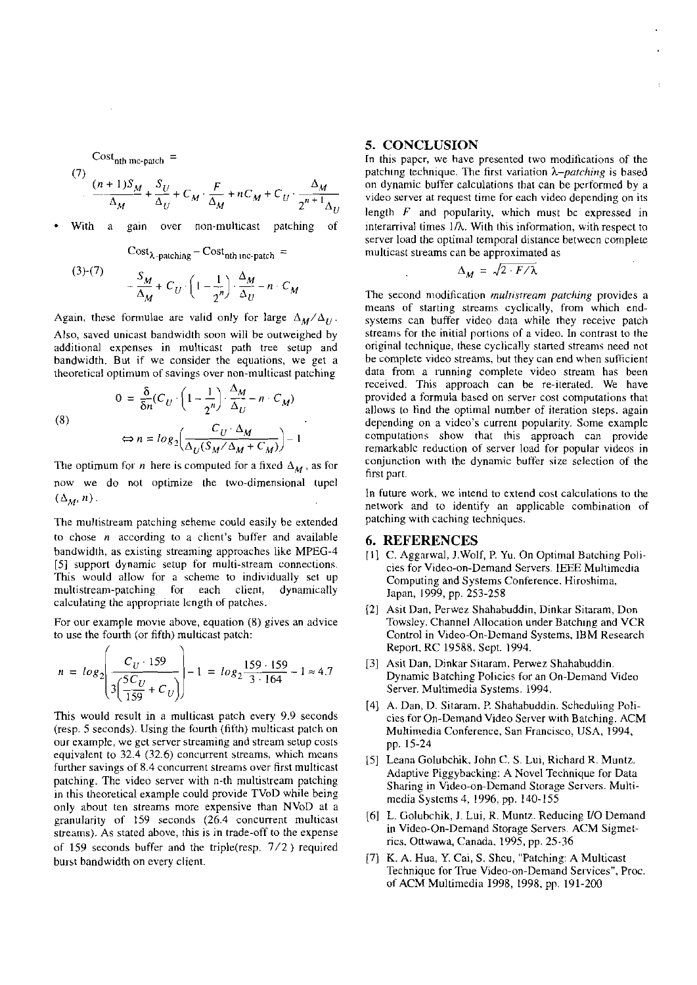(7)  
\n
$$
\frac{(n+1)S_M}{\Delta_M} + \frac{S_U}{\Delta_U} + C_M \cdot \frac{F}{\Delta_M} + nC_M + C_U \cdot \frac{\Delta_M}{2^{n+1} \Delta_U}
$$

With a gain over non-multicast patching of

$$
(3)-(7)
$$
\n
$$
-\frac{S_M}{\Delta_M} + C_U \cdot \left(1 - \frac{1}{2^n}\right) \cdot \frac{\Delta_M}{\Delta_U} - n \cdot C_M
$$

 $\mathcal{L}_{\text{ext}}$ 

Again, these formulae are valid only for large  $\Delta_M/\Delta_I$ . Also, saved unicast bandwidth soon will be outweighed by additional expenses in multicast path tree setup and bandwidth. But if we consider the equations, we get a theoretical optimum of savings over non-multicast patching

 $(8)$ 

 $\overline{ }$ 

$$
0 = \frac{\delta}{\delta n} (C_U \cdot \left(1 - \frac{1}{2^n}\right) \cdot \frac{\Delta_M}{\Delta_U} - n \cdot C_M)
$$

$$
\Leftrightarrow n = \log_2 \left(\frac{C_U \cdot \Delta_M}{\Delta_U (S_M / \Delta_M + C_M)}\right) - 1
$$

The optimum for *n* here is computed for a fixed  $\Delta_M$ , as for now we do not optimize the two-dimensional tupel  $(\Delta_M, n)$ .

The muliistream patching seheme could easily be extended to chose **n** according to a client's buffer and available bandwidth, as existing streaming approaches like MPEG-4 [5] support dynamic setup for multi-stream connections. This would allow for a scheme to individually set up multistream-patching for each client, dynamically calculating the appropriate lcngth of patches.

For our example movie above, equation (8) gives an advice to use the fouith (or fifth) multicast patch:

$$
n = log_2 \left( \frac{C_U \cdot 159}{3\left(\frac{5C_U}{159} + C_U\right)} \right) - 1 = log_2 \frac{159 \cdot 159}{3 \cdot 164} - 1 \approx 4.7
$$

This would result in a multicast patch every 9.9 seconds (resp. 5 seconds). Using the fourth (fifth) multicast patch on our example, we get server streaming and stream setup cosrs equivalent to 32.4 (32.6) concurrent streams, which mcans further savings of 8.4 concurrent streams over first multicast patchinp. The video server with n-th multistream patching in this theoretical example could provide TVoD while being only about ten streams more expensive than NVoD at a granularity of 159 seconds (26.4 concurrent multicast streams). As stated above, this is in trade-off to the expense of 159 secorids buffer and the triple(resp. 7/2 ) required burzt bandwidth on every client.

#### 5. CONCLUSION

In this papcr, we have presented two modifications of the patching technique. The first variation  $\lambda$ -patching is based on dynamic buffer calculations that can be pcrformed by a video server ar request time for each video depending on its length  $F$  and popularity, which must be expressed in interarrival times  $1/\lambda$ . With this information, with respect to server load the optimal temporal distance betwecn complete multicast streams can be approximated as  $\alpha$ , with this intermal<br>mal temporal distantian<br>an be approximated<br> $\Delta_M = \sqrt{2 \cdot F/\lambda}$ 

$$
\Delta_M = \sqrt{2 \cdot F/\lambda}
$$

The second modification *multistream patching* provides a means of starting streams cyclically, from which endsystems can buffer video data while they receive patch streams for the initial portions of a video. In contrast to the original tcchnique, these cyclically started streams need not be complete video streams, but they can end when sufficient dara from a running compleie video stream has been received. This approach can be re-iterated. We have provided a formula based on server cost computations that allows to find the optimal number of iteration steps, again depending on a video's current popularity. Some example computations show that ihis approach can provide remarkablc reduction of server load for popular videos in conjunction with ihe dynamic huffer sire sclection of the first part.

In future work, we intend to extend cost calculations to the network and to identify an applicable combination of patching with caching techniques.

#### **6. REFERENCES**

- [1] C. Aggarwal, J.Wolf, P. Yu. On Optimal Batching Policies for Video-on-Demand Servers. IEEE Multimedia Computing and Systems Conference. Hiroshima, Japan, 1999, pp. 253-258
- [2] Asit Dan, Perwez Shahahuddin, Dinkar Sitaram, Don Towslcy. Channel Allocation under Batching and VCR Control in Video-On-Dcmand Systems, IBM Research Report, RC 19588. Sept. 1994.
- [3] Asit Dan, Dinkar Sitaram. Perwez Shahabuddin. Dynamic Batching Policies for an On-Demand Video Server. Multimedia Systems. 1994.
- [4] A. Dan, D. Sitaram, P. Shahabuddin. Scheduling Policies for On-DemandVideo Server wiih Batchinp. ACM Multimedia Conference, San Francisco, USA, 1994, pp. 15-24
- [5] Leana Golubchik, lohn C. S. Lui, Richard R. Muntz. Adaptive Piggybacking: A Novel Technique for Data Sharing in Video-on-Dcmand Storage Servcrs. Multimedia Systems 4. 1996, pp. 140-155
- [6] L. Golubchik, J. Lui, R. Muntz. Reducing I/O Demand in Video-On-Demand Storage Servers. ACM Sigmelrics. Ottwawa, Canada. 1995, pp. 25-36
- [71 K. A. Hua. Y Cai, S. Shcu, "Patching: A Multicast Technique for True Video-on-Demand Services", Proc. of ACM Multimedia 1998, 1998, pp. 191-200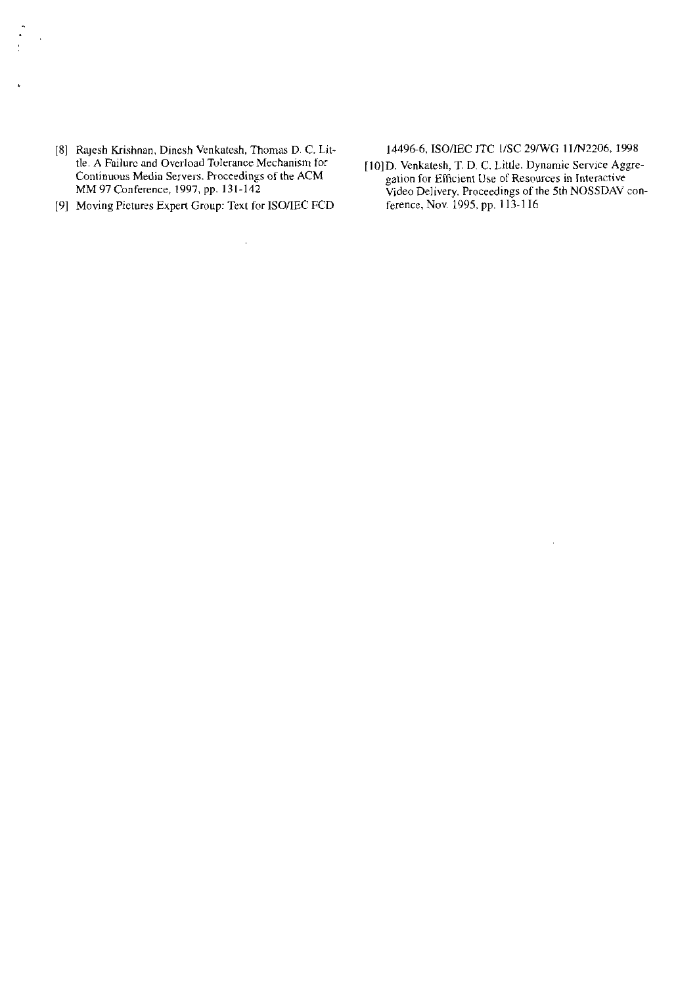- 181 Rajesh Krishnan, Dincsh Venkatesh, Thomas D. C. Lit-<br>the 14496-6, ISO/IEC JTC 1/SC 29/WG 11/N2206, 1998<br>101 D. Venkatesh, T. D. C. Little. Dynamic Service Aggre
- [9] Moving Pictures Expert Group: Text for ISO/IEC FCD

 $\mathcal{A}^{\mathcal{A}}$ 

tle. A Failurc and Ovcrload Tolerance Mechanism for [10] D. Venkatesh, T. D. C. Little. Dynamic Service Aggre-<br>
Continuous Media Servers. Proceedings of the ACM gation for Efficient Use of Resources in Interactive<br>
Video D Video Delivery. Proceedings of the 5th NOSSDAV conference, Nov. 1995, pp. 113-116

 $\sim$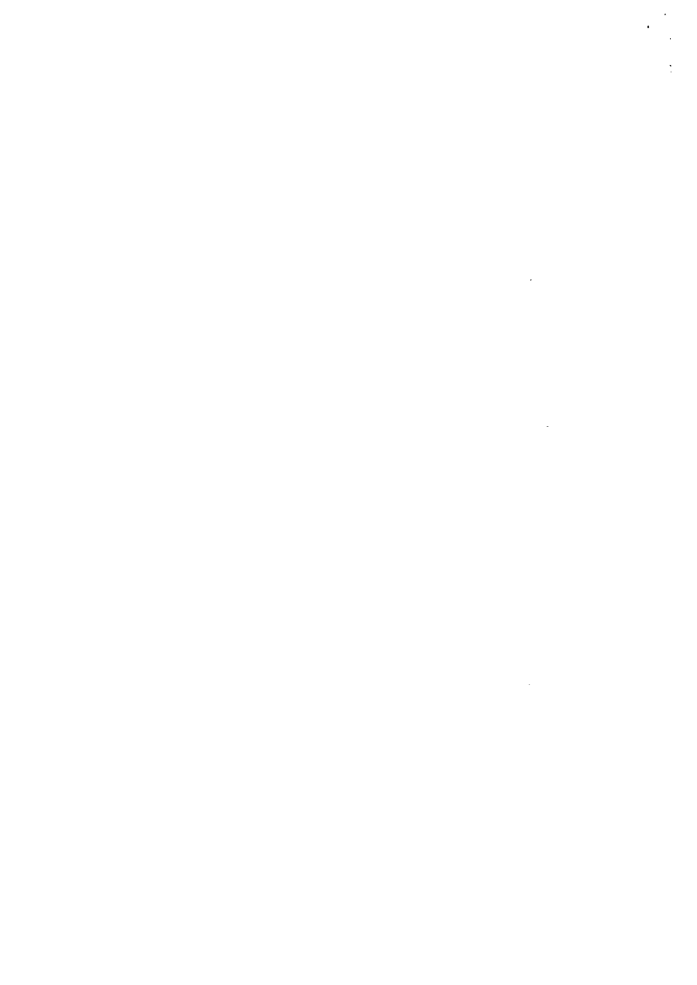$\mathbf{v}^{\dagger}$  $\hat{\mathcal{A}}$ 

 $\label{eq:2.1} \frac{1}{\sqrt{2}}\left(\frac{1}{\sqrt{2}}\right)^{2} \left(\frac{1}{\sqrt{2}}\right)^{2} \left(\frac{1}{\sqrt{2}}\right)^{2} \left(\frac{1}{\sqrt{2}}\right)^{2} \left(\frac{1}{\sqrt{2}}\right)^{2} \left(\frac{1}{\sqrt{2}}\right)^{2} \left(\frac{1}{\sqrt{2}}\right)^{2} \left(\frac{1}{\sqrt{2}}\right)^{2} \left(\frac{1}{\sqrt{2}}\right)^{2} \left(\frac{1}{\sqrt{2}}\right)^{2} \left(\frac{1}{\sqrt{2}}\right)^{2} \left(\$ 

 $\label{eq:2.1} \frac{1}{\sqrt{2\pi}}\int_{0}^{\infty}\frac{1}{\sqrt{2\pi}}\left(\frac{1}{\sqrt{2\pi}}\right)^{2\alpha} \frac{1}{\sqrt{2\pi}}\int_{0}^{\infty}\frac{1}{\sqrt{2\pi}}\frac{1}{\sqrt{2\pi}}\frac{1}{\sqrt{2\pi}}\frac{1}{\sqrt{2\pi}}\frac{1}{\sqrt{2\pi}}\frac{1}{\sqrt{2\pi}}\frac{1}{\sqrt{2\pi}}\frac{1}{\sqrt{2\pi}}\frac{1}{\sqrt{2\pi}}\frac{1}{\sqrt{2\pi}}\frac{1}{\sqrt{2\pi}}\frac{$